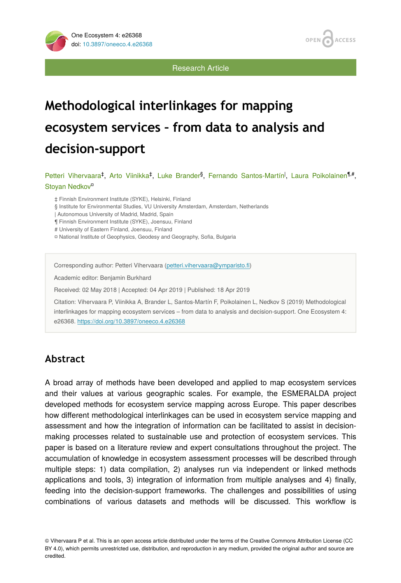

Research Article

# **Methodological interlinkages for mapping ecosystem services – from data to analysis and decision-support**

Petteri Vihervaara<sup>‡</sup>, Arto Viinikka<sup>‡</sup>, Luke Brander<sup>§</sup>, Fernando Santos-Martín<sup>I</sup>, Laura Poikolainen<sup>¶,#</sup>, Stoyan Nedkov<sup>o</sup>

‡ Finnish Environment Institute (SYKE), Helsinki, Finland

§ Institute for Environmental Studies, VU University Amsterdam, Amsterdam, Netherlands

| Autonomous University of Madrid, Madrid, Spain

¶ Finnish Environment Institute (SYKE), Joensuu, Finland

# University of Eastern Finland, Joensuu, Finland

¤ National Institute of Geophysics, Geodesy and Geography, Sofia, Bulgaria

Corresponding author: Petteri Vihervaara [\(petteri.vihervaara@ymparisto.](mailto:petteri.vihervaara@ymparisto.fi)fi)

Academic editor: Benjamin Burkhard

Received: 02 May 2018 | Accepted: 04 Apr 2019 | Published: 18 Apr 2019

Citation: Vihervaara P, Viinikka A, Brander L, Santos-Martín F, Poikolainen L, Nedkov S (2019) Methodological interlinkages for mapping ecosystem services – from data to analysis and decision-support. One Ecosystem 4: e26368.<https://doi.org/10.3897/oneeco.4.e26368>

# **Abstract**

A broad array of methods have been developed and applied to map ecosystem services and their values at various geographic scales. For example, the ESMERALDA project developed methods for ecosystem service mapping across Europe. This paper describes how different methodological interlinkages can be used in ecosystem service mapping and assessment and how the integration of information can be facilitated to assist in decisionmaking processes related to sustainable use and protection of ecosystem services. This paper is based on a literature review and expert consultations throughout the project. The accumulation of knowledge in ecosystem assessment processes will be described through multiple steps: 1) data compilation, 2) analyses run via independent or linked methods applications and tools, 3) integration of information from multiple analyses and 4) finally, feeding into the decision-support frameworks. The challenges and possibilities of using combinations of various datasets and methods will be discussed. This workflow is

© Vihervaara P et al. This is an open access article distributed under the terms of the Creative Commons Attribution License (CC BY 4.0), which permits unrestricted use, distribution, and reproduction in any medium, provided the original author and source are credited.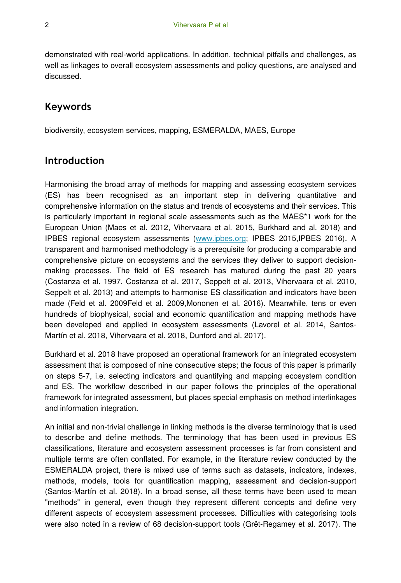demonstrated with real-world applications. In addition, technical pitfalls and challenges, as well as linkages to overall ecosystem assessments and policy questions, are analysed and discussed.

### **Keywords**

biodiversity, ecosystem services, mapping, ESMERALDA, MAES, Europe

### **Introduction**

Harmonising the broad array of methods for mapping and assessing ecosystem services (ES) has been recognised as an important step in delivering quantitative and comprehensive information on the status and trends of ecosystems and their services. This is particularly important in regional scale assessments such as the MAES\*1 work for the European Union (Maes et al. 2012, Vihervaara et al. 2015, Burkhard and al. 2018) and IPBES regional ecosystem assessments [\(www.ipbes.org;](http://www.ipbes.org/) IPBES 2015,IPBES 2016). A transparent and harmonised methodology is a prerequisite for producing a comparable and comprehensive picture on ecosystems and the services they deliver to support decisionmaking processes. The field of ES research has matured during the past 20 years (Costanza et al. 1997, Costanza et al. 2017, Seppelt et al. 2013, Vihervaara et al. 2010, Seppelt et al. 2013) and attempts to harmonise ES classification and indicators have been made (Feld et al. 2009Feld et al. 2009,Mononen et al. 2016). Meanwhile, tens or even hundreds of biophysical, social and economic quantification and mapping methods have been developed and applied in ecosystem assessments (Lavorel et al. 2014, Santos-Martín et al. 2018, Vihervaara et al. 2018, Dunford and al. 2017).

Burkhard et al. 2018 have proposed an operational framework for an integrated ecosystem assessment that is composed of nine consecutive steps; the focus of this paper is primarily on steps 5-7, i.e. selecting indicators and quantifying and mapping ecosystem condition and ES. The workflow described in our paper follows the principles of the operational framework for integrated assessment, but places special emphasis on method interlinkages and information integration.

An initial and non-trivial challenge in linking methods is the diverse terminology that is used to describe and define methods. The terminology that has been used in previous ES classifications, literature and ecosystem assessment processes is far from consistent and multiple terms are often conflated. For example, in the literature review conducted by the ESMERALDA project, there is mixed use of terms such as datasets, indicators, indexes, methods, models, tools for quantification mapping, assessment and decision-support (Santos-Martín et al. 2018). In a broad sense, all these terms have been used to mean "methods" in general, even though they represent different concepts and define very different aspects of ecosystem assessment processes. Difficulties with categorising tools were also noted in a review of 68 decision-support tools (Grêt-Regamey et al. 2017). The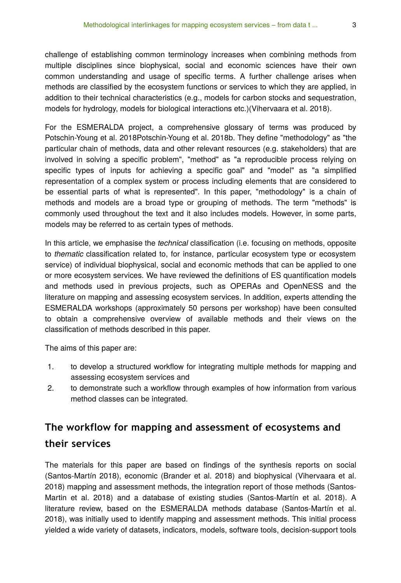challenge of establishing common terminology increases when combining methods from multiple disciplines since biophysical, social and economic sciences have their own common understanding and usage of specific terms. A further challenge arises when methods are classified by the ecosystem functions or services to which they are applied, in addition to their technical characteristics (e.g., models for carbon stocks and sequestration, models for hydrology, models for biological interactions etc.)(Vihervaara et al. 2018).

For the ESMERALDA project, a comprehensive glossary of terms was produced by Potschin-Young et al. 2018Potschin-Young et al. 2018b. They define "methodology" as "the particular chain of methods, data and other relevant resources (e.g. stakeholders) that are involved in solving a specific problem", "method" as "a reproducible process relying on specific types of inputs for achieving a specific goal" and "model" as "a simplified representation of a complex system or process including elements that are considered to be essential parts of what is represented". In this paper, "methodology" is a chain of methods and models are a broad type or grouping of methods. The term "methods" is commonly used throughout the text and it also includes models. However, in some parts, models may be referred to as certain types of methods.

In this article, we emphasise the *technical* classification (i.e. focusing on methods, opposite to *thematic* classification related to, for instance, particular ecosystem type or ecosystem service) of individual biophysical, social and economic methods that can be applied to one or more ecosystem services. We have reviewed the definitions of ES quantification models and methods used in previous projects, such as OPERAs and OpenNESS and the literature on mapping and assessing ecosystem services. In addition, experts attending the ESMERALDA workshops (approximately 50 persons per workshop) have been consulted to obtain a comprehensive overview of available methods and their views on the classification of methods described in this paper.

The aims of this paper are:

- 1. to develop a structured workflow for integrating multiple methods for mapping and assessing ecosystem services and
- 2. to demonstrate such a workflow through examples of how information from various method classes can be integrated.

# **The workflow for mapping and assessment of ecosystems and their services**

The materials for this paper are based on findings of the synthesis reports on social (Santos-Martín 2018), economic (Brander et al. 2018) and biophysical (Vihervaara et al. 2018) mapping and assessment methods, the integration report of those methods (Santos-Martin et al. 2018) and a database of existing studies (Santos-Martín et al. 2018). A literature review, based on the ESMERALDA methods database (Santos-Martín et al. 2018), was initially used to identify mapping and assessment methods. This initial process yielded a wide variety of datasets, indicators, models, software tools, decision-support tools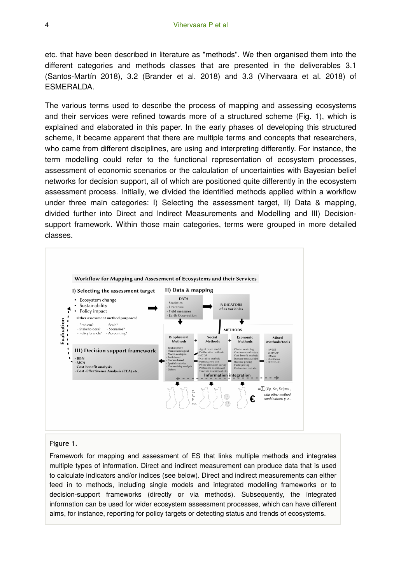etc. that have been described in literature as "methods". We then organised them into the different categories and methods classes that are presented in the deliverables 3.1 (Santos-Martín 2018), 3.2 (Brander et al. 2018) and 3.3 (Vihervaara et al. 2018) of ESMERALDA.

The various terms used to describe the process of mapping and assessing ecosystems and their services were refined towards more of a structured scheme (Fig. 1), which is explained and elaborated in this paper. In the early phases of developing this structured scheme, it became apparent that there are multiple terms and concepts that researchers, who came from different disciplines, are using and interpreting differently. For instance, the term modelling could refer to the functional representation of ecosystem processes, assessment of economic scenarios or the calculation of uncertainties with Bayesian belief networks for decision support, all of which are positioned quite differently in the ecosystem assessment process. Initially, we divided the identified methods applied within a workflow under three main categories: I) Selecting the assessment target, II) Data & mapping, divided further into Direct and Indirect Measurements and Modelling and III) Decisionsupport framework. Within those main categories, terms were grouped in more detailed classes.



#### Figure 1.

Framework for mapping and assessment of ES that links multiple methods and integrates multiple types of information. Direct and indirect measurement can produce data that is used to calculate indicators and/or indices (see below). Direct and indirect measurements can either feed in to methods, including single models and integrated modelling frameworks or to decision-support frameworks (directly or via methods). Subsequently, the integrated information can be used for wider ecosystem assessment processes, which can have different aims, for instance, reporting for policy targets or detecting status and trends of ecosystems.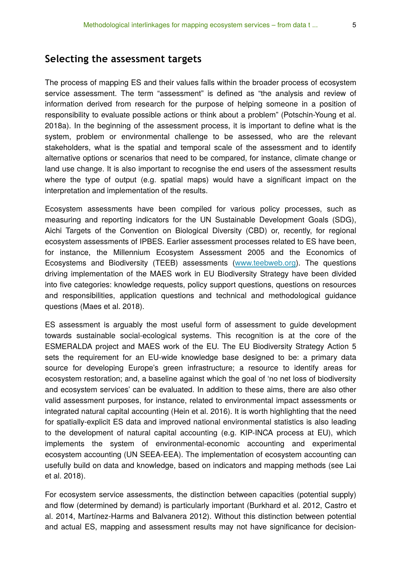### **Selecting the assessment targets**

The process of mapping ES and their values falls within the broader process of ecosystem service assessment. The term "assessment" is defined as "the analysis and review of information derived from research for the purpose of helping someone in a position of responsibility to evaluate possible actions or think about a problem" (Potschin-Young et al. 2018a). In the beginning of the assessment process, it is important to define what is the system, problem or environmental challenge to be assessed, who are the relevant stakeholders, what is the spatial and temporal scale of the assessment and to identify alternative options or scenarios that need to be compared, for instance, climate change or land use change. It is also important to recognise the end users of the assessment results where the type of output (e.g. spatial maps) would have a significant impact on the interpretation and implementation of the results.

Ecosystem assessments have been compiled for various policy processes, such as measuring and reporting indicators for the UN Sustainable Development Goals (SDG), Aichi Targets of the Convention on Biological Diversity (CBD) or, recently, for regional ecosystem assessments of IPBES. Earlier assessment processes related to ES have been, for instance, the Millennium Ecosystem Assessment 2005 and the Economics of Ecosystems and Biodiversity (TEEB) assessments [\(www.teebweb.org\)](http://www.teebweb.org/). The questions driving implementation of the MAES work in EU Biodiversity Strategy have been divided into five categories: knowledge requests, policy support questions, questions on resources and responsibilities, application questions and technical and methodological guidance questions (Maes et al. 2018).

ES assessment is arguably the most useful form of assessment to guide development towards sustainable social-ecological systems. This recognition is at the core of the ESMERALDA project and MAES work of the EU. The EU Biodiversity Strategy Action 5 sets the requirement for an EU-wide knowledge base designed to be: a primary data source for developing Europe's green infrastructure; a resource to identify areas for ecosystem restoration; and, a baseline against which the goal of 'no net loss of biodiversity and ecosystem services' can be evaluated. In addition to these aims, there are also other valid assessment purposes, for instance, related to environmental impact assessments or integrated natural capital accounting (Hein et al. 2016). It is worth highlighting that the need for spatially-explicit ES data and improved national environmental statistics is also leading to the development of natural capital accounting (e.g. KIP-INCA process at EU), which implements the system of environmental-economic accounting and experimental ecosystem accounting (UN SEEA-EEA). The implementation of ecosystem accounting can usefully build on data and knowledge, based on indicators and mapping methods (see Lai et al. 2018).

For ecosystem service assessments, the distinction between capacities (potential supply) and flow (determined by demand) is particularly important (Burkhard et al. 2012, Castro et al. 2014, Martínez-Harms and Balvanera 2012). Without this distinction between potential and actual ES, mapping and assessment results may not have significance for decision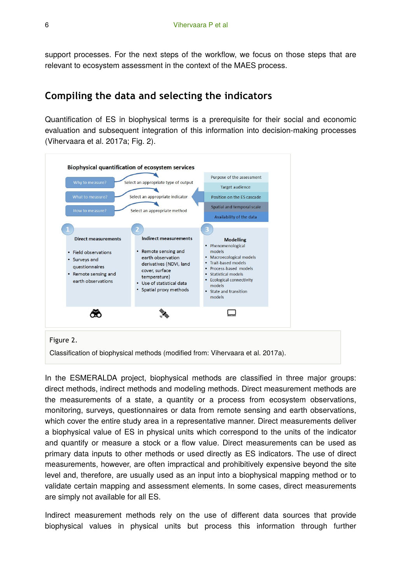support processes. For the next steps of the workflow, we focus on those steps that are relevant to ecosystem assessment in the context of the MAES process.

## **Compiling the data and selecting the indicators**

Quantification of ES in biophysical terms is a prerequisite for their social and economic evaluation and subsequent integration of this information into decision-making processes (Vihervaara et al. 2017a; Fig. 2).



Classification of biophysical methods (modified from: Vihervaara et al. 2017a).

In the ESMERALDA project, biophysical methods are classified in three major groups: direct methods, indirect methods and modeling methods. Direct measurement methods are the measurements of a state, a quantity or a process from ecosystem observations, monitoring, surveys, questionnaires or data from remote sensing and earth observations, which cover the entire study area in a representative manner. Direct measurements deliver a biophysical value of ES in physical units which correspond to the units of the indicator and quantify or measure a stock or a flow value. Direct measurements can be used as primary data inputs to other methods or used directly as ES indicators. The use of direct measurements, however, are often impractical and prohibitively expensive beyond the site level and, therefore, are usually used as an input into a biophysical mapping method or to validate certain mapping and assessment elements. In some cases, direct measurements are simply not available for all ES.

Indirect measurement methods rely on the use of different data sources that provide biophysical values in physical units but process this information through further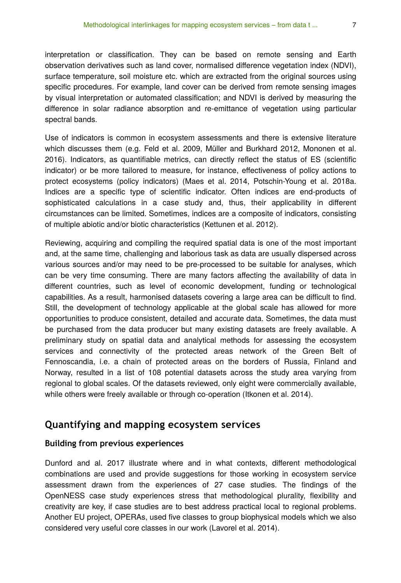interpretation or classification. They can be based on remote sensing and Earth observation derivatives such as land cover, normalised difference vegetation index (NDVI), surface temperature, soil moisture etc. which are extracted from the original sources using specific procedures. For example, land cover can be derived from remote sensing images by visual interpretation or automated classification; and NDVI is derived by measuring the difference in solar radiance absorption and re-emittance of vegetation using particular spectral bands.

Use of indicators is common in ecosystem assessments and there is extensive literature which discusses them (e.g. Feld et al. 2009, Müller and Burkhard 2012, Mononen et al. 2016). Indicators, as quantifiable metrics, can directly reflect the status of ES (scientific indicator) or be more tailored to measure, for instance, effectiveness of policy actions to protect ecosystems (policy indicators) (Maes et al. 2014, Potschin-Young et al. 2018a. Indices are a specific type of scientific indicator. Often indices are end-products of sophisticated calculations in a case study and, thus, their applicability in different circumstances can be limited. Sometimes, indices are a composite of indicators, consisting of multiple abiotic and/or biotic characteristics (Kettunen et al. 2012).

Reviewing, acquiring and compiling the required spatial data is one of the most important and, at the same time, challenging and laborious task as data are usually dispersed across various sources and/or may need to be pre-processed to be suitable for analyses, which can be very time consuming. There are many factors affecting the availability of data in different countries, such as level of economic development, funding or technological capabilities. As a result, harmonised datasets covering a large area can be difficult to find. Still, the development of technology applicable at the global scale has allowed for more opportunities to produce consistent, detailed and accurate data. Sometimes, the data must be purchased from the data producer but many existing datasets are freely available. A preliminary study on spatial data and analytical methods for assessing the ecosystem services and connectivity of the protected areas network of the Green Belt of Fennoscandia, i.e. a chain of protected areas on the borders of Russia, Finland and Norway, resulted in a list of 108 potential datasets across the study area varying from regional to global scales. Of the datasets reviewed, only eight were commercially available, while others were freely available or through co-operation (Itkonen et al. 2014).

### **Quantifying and mapping ecosystem services**

#### **Building from previous experiences**

Dunford and al. 2017 illustrate where and in what contexts, different methodological combinations are used and provide suggestions for those working in ecosystem service assessment drawn from the experiences of 27 case studies. The findings of the OpenNESS case study experiences stress that methodological plurality, flexibility and creativity are key, if case studies are to best address practical local to regional problems. Another EU project, OPERAs, used five classes to group biophysical models which we also considered very useful core classes in our work (Lavorel et al. 2014).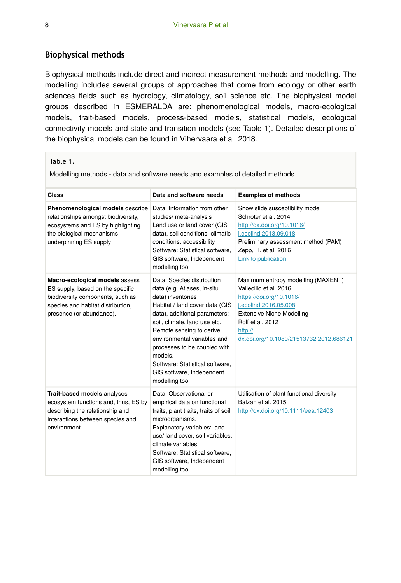#### **Biophysical methods**

Biophysical methods include direct and indirect measurement methods and modelling. The modelling includes several groups of approaches that come from ecology or other earth sciences fields such as hydrology, climatology, soil science etc. The biophysical model groups described in ESMERALDA are: phenomenological models, macro-ecological models, trait-based models, process-based models, statistical models, ecological connectivity models and state and transition models (see Table 1). Detailed descriptions of the biophysical models can be found in Vihervaara et al. 2018.

#### Table 1.

Modelling methods - data and software needs and examples of detailed methods

| Class                                                                                                                                                                   | Data and software needs                                                                                                                                                                                                                                                                                                                                                   | <b>Examples of methods</b>                                                                                                                                                                                                      |
|-------------------------------------------------------------------------------------------------------------------------------------------------------------------------|---------------------------------------------------------------------------------------------------------------------------------------------------------------------------------------------------------------------------------------------------------------------------------------------------------------------------------------------------------------------------|---------------------------------------------------------------------------------------------------------------------------------------------------------------------------------------------------------------------------------|
| Phenomenological models describe<br>relationships amongst biodiversity,<br>ecosystems and ES by highlighting<br>the biological mechanisms<br>underpinning ES supply     | Data: Information from other<br>studies/ meta-analysis<br>Land use or land cover (GIS<br>data), soil conditions, climatic<br>conditions, accessibility<br>Software: Statistical software.<br>GIS software, Independent<br>modelling tool                                                                                                                                  | Snow slide susceptibility model<br>Schröter et al. 2014<br>http://dx.doi.org/10.1016/<br>j.ecolind.2013.09.018<br>Preliminary assessment method (PAM)<br>Zepp, H. et al. 2016<br>Link to publication                            |
| Macro-ecological models assess<br>ES supply, based on the specific<br>biodiversity components, such as<br>species and habitat distribution,<br>presence (or abundance). | Data: Species distribution<br>data (e.g. Atlases, in-situ<br>data) inventories<br>Habitat / land cover data (GIS<br>data), additional parameters:<br>soil, climate, land use etc.<br>Remote sensing to derive<br>environmental variables and<br>processes to be coupled with<br>models.<br>Software: Statistical software,<br>GIS software, Independent<br>modelling tool | Maximum entropy modelling (MAXENT)<br>Vallecillo et al. 2016<br>https://doi.org/10.1016/<br>i.ecolind.2016.05.008<br><b>Extensive Niche Modelling</b><br>Rolf et al. 2012<br>http://<br>dx.doi.org/10.1080/21513732.2012.686121 |
| Trait-based models analyses<br>ecosystem functions and, thus, ES by<br>describing the relationship and<br>interactions between species and<br>environment.              | Data: Observational or<br>empirical data on functional<br>traits, plant traits, traits of soil<br>microorganisms.<br>Explanatory variables: land<br>use/ land cover, soil variables,<br>climate variables.<br>Software: Statistical software.<br>GIS software, Independent<br>modelling tool.                                                                             | Utilisation of plant functional diversity<br>Balzan et al. 2015<br>http://dx.doi.org/10.1111/eea.12403                                                                                                                          |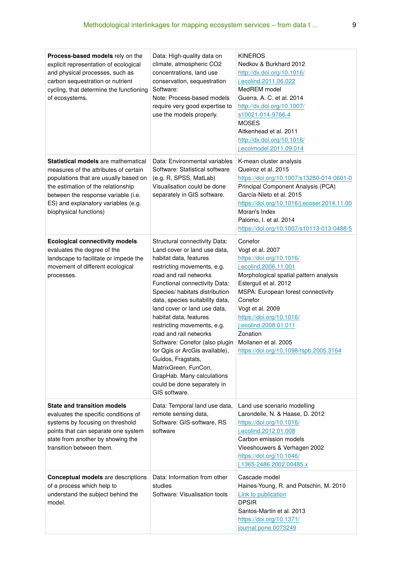| Process-based models rely on the<br>explicit representation of ecological<br>and physical processes, such as<br>carbon sequestration or nutrient<br>cycling, that determine the functioning<br>of ecosystems.                                                              | Data: High-quality data on<br>climate, atmospheric CO2<br>concentrations, land use<br>conservation, sequestration<br>Software:<br>Note: Process-based models<br>require very good expertise to<br>use the models properly.                                                                                                                                                                                                                                                                                                                                                | <b>KINEROS</b><br>Nedkov & Burkhard 2012<br>http://dx.doi.org/10.1016/<br>j.ecolind.2011.06.022<br>MedREM model<br>Guerra, A. C. et al. 2014<br>http://dx.doi.org/10.1007/<br>s10021-014-9766-4<br><b>MOSES</b><br>Aitkenhead et al. 2011<br>http://dx.doi.org/10.1016/<br>j.ecolmodel.2011.09.014                                                          |
|----------------------------------------------------------------------------------------------------------------------------------------------------------------------------------------------------------------------------------------------------------------------------|---------------------------------------------------------------------------------------------------------------------------------------------------------------------------------------------------------------------------------------------------------------------------------------------------------------------------------------------------------------------------------------------------------------------------------------------------------------------------------------------------------------------------------------------------------------------------|-------------------------------------------------------------------------------------------------------------------------------------------------------------------------------------------------------------------------------------------------------------------------------------------------------------------------------------------------------------|
| <b>Statistical models</b> are mathematical<br>measures of the attributes of certain<br>populations that are usually based on<br>the estimation of the relationship<br>between the response variable (i.e.<br>ES) and explanatory variables (e.g.<br>biophysical functions) | Data: Environmental variables<br>Software: Statistical software<br>(e.g. R, SPSS, MatLab)<br>Visualisation could be done<br>separately in GIS software.                                                                                                                                                                                                                                                                                                                                                                                                                   | K-mean cluster analysis<br>Queiroz et al. 2015<br>https://doi.org/10.1007/s13280-014-0601-0<br>Principal Component Analysis (PCA)<br>García-Nieto et al. 2015<br>https://doi.org/10.1016/j.ecoser.2014.11.00<br>Moran's Index<br>Palomo, I. et al. 2014<br>https://doi.org/10.1007/s10113-013-0488-5                                                        |
| <b>Ecological connectivity models</b><br>evaluates the degree of the<br>landscape to facilitate or impede the<br>movement of different ecological<br>processes.                                                                                                            | Structural connectivity Data:<br>Land cover or land use data.<br>habitat data, features<br>restricting movements, e.g.<br>road and rail networks<br>Functional connectivity Data:<br>Species/ habitats distribution<br>data, species suitability data,<br>land cover or land use data,<br>habitat data, features<br>restricting movements, e.g.<br>road and rail networks<br>Software: Conefor (also plugin<br>for Qgis or ArcGis available),<br>Guidos, Fragstats,<br>MatrixGreen, FunCon,<br>GrapHab. Many calculations<br>could be done separately in<br>GIS software. | Conefor<br>Vogt et al. 2007<br>https://doi.org/10.1016/<br>j.ecolind.2006.11.001<br>Morphological spatial pattern analysis<br>Esterguil et al. 2012<br>MSPA: European forest connectivity<br>Conefor<br>Vogt et al. 2009<br>https://doi.org/10.1016/<br>j.ecolind.2008.01.011<br>Zonation<br>Moilanen et al. 2005<br>https://doi.org/10.1098/rspb.2005.3164 |
| <b>State and transition models</b><br>evaluates the specific conditions of<br>systems by focusing on threshold<br>points that can separate one system<br>state from another by showing the<br>transition between them.                                                     | Data: Temporal land use data,<br>remote sensing data,<br>Software: GIS-software, RS<br>software                                                                                                                                                                                                                                                                                                                                                                                                                                                                           | Land use scenario modelling<br>Larondelle, N. & Haase, D. 2012<br>https://doi.org/10.1016/<br>j.ecolind.2012.01.008<br>Carbon emission models<br>Vleeshouwers & Verhagen 2002<br>https://doi.org/10.1046/<br>j.1365-2486.2002.00485.x                                                                                                                       |
| <b>Conceptual models</b> are descriptions<br>of a process which help to<br>understand the subject behind the<br>model.                                                                                                                                                     | Data: Information from other<br>studies<br>Software: Visualisation tools                                                                                                                                                                                                                                                                                                                                                                                                                                                                                                  | Cascade model<br>Haines-Young, R. and Potschin, M. 2010<br>Link to publication<br><b>DPSIR</b><br>Santos-Martin et al. 2013<br>https://doi.org/10.1371/<br>journal.pone.0073249                                                                                                                                                                             |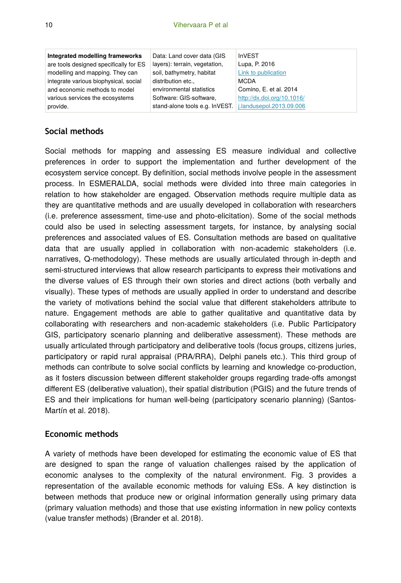| Integrated modelling frameworks        | Data: Land cover data (GIS                              | <b>InVEST</b>              |
|----------------------------------------|---------------------------------------------------------|----------------------------|
| are tools designed specifically for ES | layers): terrain, vegetation,                           | Lupa, P. 2016              |
| modelling and mapping. They can        | soil, bathymetry, habitat                               | Link to publication        |
| integrate various biophysical, social  | distribution etc                                        | <b>MCDA</b>                |
| and economic methods to model          | environmental statistics                                | Comino, E. et al. 2014     |
| various services the ecosystems        | Software: GIS-software.                                 | http://dx.doi.org/10.1016/ |
| provide.                               | stand-alone tools e.g. InVEST. i.landusepol.2013.09.006 |                            |

#### **Social methods**

Social methods for mapping and assessing ES measure individual and collective preferences in order to support the implementation and further development of the ecosystem service concept. By definition, social methods involve people in the assessment process. In ESMERALDA, social methods were divided into three main categories in relation to how stakeholder are engaged. Observation methods require multiple data as they are quantitative methods and are usually developed in collaboration with researchers (i.e. preference assessment, time-use and photo-elicitation). Some of the social methods could also be used in selecting assessment targets, for instance, by analysing social preferences and associated values of ES. Consultation methods are based on qualitative data that are usually applied in collaboration with non-academic stakeholders (i.e. narratives, Q-methodology). These methods are usually articulated through in-depth and semi-structured interviews that allow research participants to express their motivations and the diverse values of ES through their own stories and direct actions (both verbally and visually). These types of methods are usually applied in order to understand and describe the variety of motivations behind the social value that different stakeholders attribute to nature. Engagement methods are able to gather qualitative and quantitative data by collaborating with researchers and non-academic stakeholders (i.e. Public Participatory GIS, participatory scenario planning and deliberative assessment). These methods are usually articulated through participatory and deliberative tools (focus groups, citizens juries, participatory or rapid rural appraisal (PRA/RRA), Delphi panels etc.). This third group of methods can contribute to solve social conflicts by learning and knowledge co-production, as it fosters discussion between different stakeholder groups regarding trade-offs amongst different ES (deliberative valuation), their spatial distribution (PGIS) and the future trends of ES and their implications for human well-being (participatory scenario planning) (Santos-Martín et al. 2018).

#### **Economic methods**

A variety of methods have been developed for estimating the economic value of ES that are designed to span the range of valuation challenges raised by the application of economic analyses to the complexity of the natural environment. Fig. 3 provides a representation of the available economic methods for valuing ESs. A key distinction is between methods that produce new or original information generally using primary data (primary valuation methods) and those that use existing information in new policy contexts (value transfer methods) (Brander et al. 2018).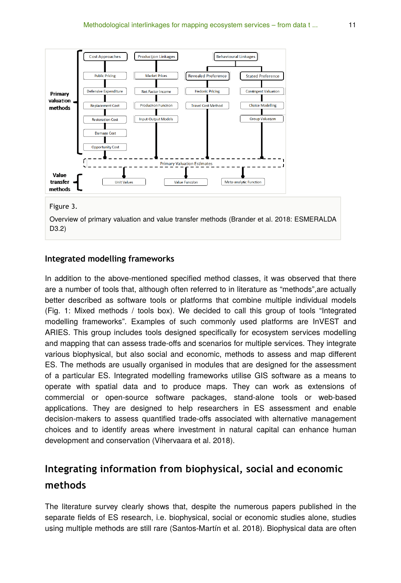

#### Figure 3.

Overview of primary valuation and value transfer methods (Brander et al. 2018: ESMERALDA D3.2)

#### **Integrated modelling frameworks**

In addition to the above-mentioned specified method classes, it was observed that there are a number of tools that, although often referred to in literature as "methods",are actually better described as software tools or platforms that combine multiple individual models (Fig. 1: Mixed methods / tools box). We decided to call this group of tools "Integrated modelling frameworks". Examples of such commonly used platforms are InVEST and ARIES. This group includes tools designed specifically for ecosystem services modelling and mapping that can assess trade-offs and scenarios for multiple services. They integrate various biophysical, but also social and economic, methods to assess and map different ES. The methods are usually organised in modules that are designed for the assessment of a particular ES. Integrated modelling frameworks utilise GIS software as a means to operate with spatial data and to produce maps. They can work as extensions of commercial or open-source software packages, stand-alone tools or web-based applications. They are designed to help researchers in ES assessment and enable decision-makers to assess quantified trade-offs associated with alternative management choices and to identify areas where investment in natural capital can enhance human development and conservation (Vihervaara et al. 2018).

# **Integrating information from biophysical, social and economic methods**

The literature survey clearly shows that, despite the numerous papers published in the separate fields of ES research, i.e. biophysical, social or economic studies alone, studies using multiple methods are still rare (Santos-Martín et al. 2018). Biophysical data are often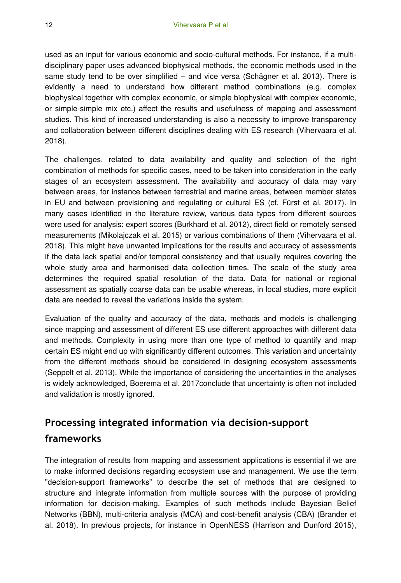used as an input for various economic and socio-cultural methods. For instance, if a multidisciplinary paper uses advanced biophysical methods, the economic methods used in the same study tend to be over simplified – and vice versa (Schägner et al. 2013). There is evidently a need to understand how different method combinations (e.g. complex biophysical together with complex economic, or simple biophysical with complex economic, or simple-simple mix etc.) affect the results and usefulness of mapping and assessment studies. This kind of increased understanding is also a necessity to improve transparency and collaboration between different disciplines dealing with ES research (Vihervaara et al. 2018).

The challenges, related to data availability and quality and selection of the right combination of methods for specific cases, need to be taken into consideration in the early stages of an ecosystem assessment. The availability and accuracy of data may vary between areas, for instance between terrestrial and marine areas, between member states in EU and between provisioning and regulating or cultural ES (cf. Fürst et al. 2017). In many cases identified in the literature review, various data types from different sources were used for analysis: expert scores (Burkhard et al. 2012), direct field or remotely sensed measurements (Mikolajczak et al. 2015) or various combinations of them (Vihervaara et al. 2018). This might have unwanted implications for the results and accuracy of assessments if the data lack spatial and/or temporal consistency and that usually requires covering the whole study area and harmonised data collection times. The scale of the study area determines the required spatial resolution of the data. Data for national or regional assessment as spatially coarse data can be usable whereas, in local studies, more explicit data are needed to reveal the variations inside the system.

Evaluation of the quality and accuracy of the data, methods and models is challenging since mapping and assessment of different ES use different approaches with different data and methods. Complexity in using more than one type of method to quantify and map certain ES might end up with significantly different outcomes. This variation and uncertainty from the different methods should be considered in designing ecosystem assessments (Seppelt et al. 2013). While the importance of considering the uncertainties in the analyses is widely acknowledged, Boerema et al. 2017conclude that uncertainty is often not included and validation is mostly ignored.

# **Processing integrated information via decision-support frameworks**

The integration of results from mapping and assessment applications is essential if we are to make informed decisions regarding ecosystem use and management. We use the term "decision-support frameworks" to describe the set of methods that are designed to structure and integrate information from multiple sources with the purpose of providing information for decision-making. Examples of such methods include Bayesian Belief Networks (BBN), multi-criteria analysis (MCA) and cost-benefit analysis (CBA) (Brander et al. 2018). In previous projects, for instance in OpenNESS (Harrison and Dunford 2015),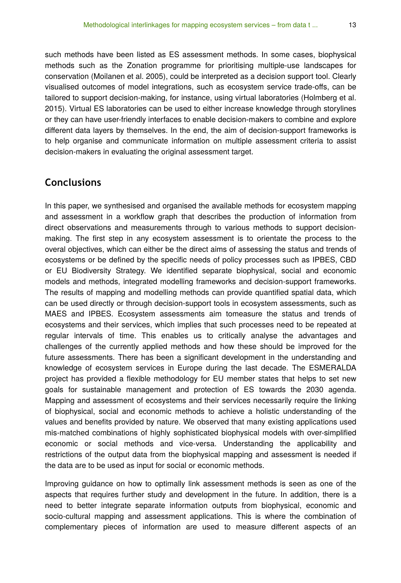such methods have been listed as ES assessment methods. In some cases, biophysical methods such as the Zonation programme for prioritising multiple-use landscapes for conservation (Moilanen et al. 2005), could be interpreted as a decision support tool. Clearly visualised outcomes of model integrations, such as ecosystem service trade-offs, can be tailored to support decision-making, for instance, using virtual laboratories (Holmberg et al. 2015). Virtual ES laboratories can be used to either increase knowledge through storylines or they can have user-friendly interfaces to enable decision-makers to combine and explore different data layers by themselves. In the end, the aim of decision-support frameworks is to help organise and communicate information on multiple assessment criteria to assist decision-makers in evaluating the original assessment target.

## **Conclusions**

In this paper, we synthesised and organised the available methods for ecosystem mapping and assessment in a workflow graph that describes the production of information from direct observations and measurements through to various methods to support decisionmaking. The first step in any ecosystem assessment is to orientate the process to the overal objectives, which can either be the direct aims of assessing the status and trends of ecosystems or be defined by the specific needs of policy processes such as IPBES, CBD or EU Biodiversity Strategy. We identified separate biophysical, social and economic models and methods, integrated modelling frameworks and decision-support frameworks. The results of mapping and modelling methods can provide quantified spatial data, which can be used directly or through decision-support tools in ecosystem assessments, such as MAES and IPBES. Ecosystem assessments aim tomeasure the status and trends of ecosystems and their services, which implies that such processes need to be repeated at regular intervals of time. This enables us to critically analyse the advantages and challenges of the currently applied methods and how these should be improved for the future assessments. There has been a significant development in the understanding and knowledge of ecosystem services in Europe during the last decade. The ESMERALDA project has provided a flexible methodology for EU member states that helps to set new goals for sustainable management and protection of ES towards the 2030 agenda. Mapping and assessment of ecosystems and their services necessarily require the linking of biophysical, social and economic methods to achieve a holistic understanding of the values and benefits provided by nature. We observed that many existing applications used mis-matched combinations of highly sophisticated biophysical models with over-simplified economic or social methods and vice-versa. Understanding the applicability and restrictions of the output data from the biophysical mapping and assessment is needed if the data are to be used as input for social or economic methods.

Improving guidance on how to optimally link assessment methods is seen as one of the aspects that requires further study and development in the future. In addition, there is a need to better integrate separate information outputs from biophysical, economic and socio-cultural mapping and assessment applications. This is where the combination of complementary pieces of information are used to measure different aspects of an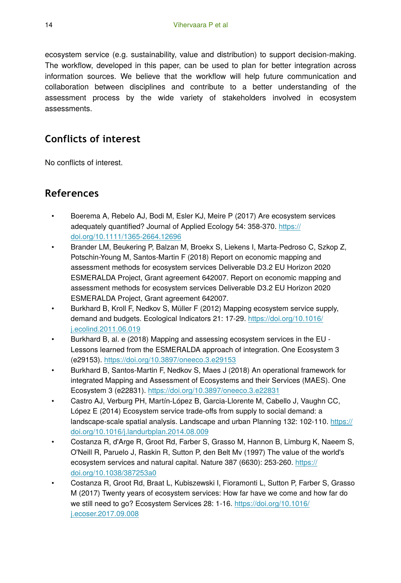ecosystem service (e.g. sustainability, value and distribution) to support decision-making. The workflow, developed in this paper, can be used to plan for better integration across information sources. We believe that the workflow will help future communication and collaboration between disciplines and contribute to a better understanding of the assessment process by the wide variety of stakeholders involved in ecosystem assessments.

# **Conflicts of interest**

No conflicts of interest.

# **References**

- Boerema A, Rebelo AJ, Bodi M, Esler KJ, Meire P (2017) Are ecosystem services adequately quantified? Journal of Applied Ecology 54: 358-370. [https://](https://doi.org/10.1111/1365-2664.12696) [doi.org/10.1111/1365-2664.12696](https://doi.org/10.1111/1365-2664.12696)
- Brander LM, Beukering P, Balzan M, Broekx S, Liekens I, Marta-Pedroso C, Szkop Z, Potschin-Young M, Santos-Martin F (2018) Report on economic mapping and assessment methods for ecosystem services Deliverable D3.2 EU Horizon 2020 ESMERALDA Project, Grant agreement 642007. Report on economic mapping and assessment methods for ecosystem services Deliverable D3.2 EU Horizon 2020 ESMERALDA Project, Grant agreement 642007.
- Burkhard B, Kroll F, Nedkov S, Müller F (2012) Mapping ecosystem service supply, demand and budgets. Ecological Indicators 21: 17‑29. [https://doi.org/10.1016/](https://doi.org/10.1016/j.ecolind.2011.06.019) [j.ecolind.2011.06.019](https://doi.org/10.1016/j.ecolind.2011.06.019)
- Burkhard B, al. e (2018) Mapping and assessing ecosystem services in the EU Lessons learned from the ESMERALDA approach of integration. One Ecosystem 3 (e29153).<https://doi.org/10.3897/oneeco.3.e29153>
- Burkhard B, Santos-Martin F, Nedkov S, Maes J (2018) An operational framework for integrated Mapping and Assessment of Ecosystems and their Services (MAES). One Ecosystem 3 (e22831). <https://doi.org/10.3897/oneeco.3.e22831>
- Castro AJ, Verburg PH, Martín-López B, Garcia-Llorente M, Cabello J, Vaughn CC, López E (2014) Ecosystem service trade-offs from supply to social demand: a landscape-scale spatial analysis. Landscape and urban Planning 132: 102-110. [https://](https://doi.org/10.1016/j.landurbplan.2014.08.009) [doi.org/10.1016/j.landurbplan.2014.08.009](https://doi.org/10.1016/j.landurbplan.2014.08.009)
- Costanza R, d'Arge R, Groot Rd, Farber S, Grasso M, Hannon B, Limburg K, Naeem S, O'Neill R, Paruelo J, Raskin R, Sutton P, den Belt Mv (1997) The value of the world's ecosystem services and natural capital. Nature 387 (6630): 253-260. [https://](https://doi.org/10.1038/387253a0) [doi.org/10.1038/387253a0](https://doi.org/10.1038/387253a0)
- Costanza R, Groot Rd, Braat L, Kubiszewski I, Fioramonti L, Sutton P, Farber S, Grasso M (2017) Twenty years of ecosystem services: How far have we come and how far do we still need to go? Ecosystem Services 28: 1-16. [https://doi.org/10.1016/](https://doi.org/10.1016/j.ecoser.2017.09.008) [j.ecoser.2017.09.008](https://doi.org/10.1016/j.ecoser.2017.09.008)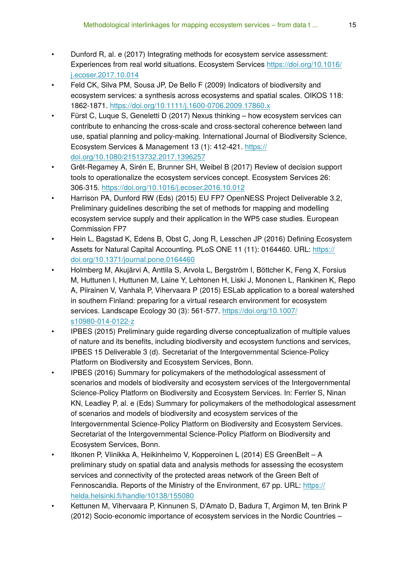- Dunford R, al. e (2017) Integrating methods for ecosystem service assessment: Experiences from real world situations. Ecosystem Services [https://doi.org/10.1016/](https://doi.org/10.1016/j.ecoser.2017.10.014) [j.ecoser.2017.10.014](https://doi.org/10.1016/j.ecoser.2017.10.014)
- Feld CK, Silva PM, Sousa JP, De Bello F (2009) Indicators of biodiversity and ecosystem services: a synthesis across ecosystems and spatial scales. OIKOS 118: 1862‑1871.<https://doi.org/10.1111/j.1600-0706.2009.17860.x>
- Fürst C, Luque S, Geneletti D (2017) Nexus thinking how ecosystem services can contribute to enhancing the cross-scale and cross-sectoral coherence between land use, spatial planning and policy-making. International Journal of Biodiversity Science, Ecosystem Services & Management 13 (1): 412‑421. [https://](https://doi.org/10.1080/21513732.2017.1396257) [doi.org/10.1080/21513732.2017.1396257](https://doi.org/10.1080/21513732.2017.1396257)
- Grêt-Regamey A, Sirén E, Brunner SH, Weibel B (2017) Review of decision support tools to operationalize the ecosystem services concept. Ecosystem Services 26: 306‑315. <https://doi.org/10.1016/j.ecoser.2016.10.012>
- Harrison PA, Dunford RW (Eds) (2015) EU FP7 OpenNESS Project Deliverable 3.2, Preliminary guidelines describing the set of methods for mapping and modelling ecosystem service supply and their application in the WP5 case studies. European Commission FP7
- Hein L, Bagstad K, Edens B, Obst C, Jong R, Lesschen JP (2016) Defining Ecosystem Assets for Natural Capital Accounting. PLoS ONE 11 (11): 0164460. URL: [https://](https://doi.org/10.1371/journal.pone.0164460) [doi.org/10.1371/journal.pone.0164460](https://doi.org/10.1371/journal.pone.0164460)
- Holmberg M, Akujärvi A, Anttila S, Arvola L, Bergström I, Böttcher K, Feng X, Forsius M, Huttunen I, Huttunen M, Laine Y, Lehtonen H, Liski J, Mononen L, Rankinen K, Repo A, Piirainen V, Vanhala P, Vihervaara P (2015) ESLab application to a boreal watershed in southern Finland: preparing for a virtual research environment for ecosystem services. Landscape Ecology 30 (3): 561-577. [https://doi.org/10.1007/](https://doi.org/10.1007/s10980-014-0122-z) [s10980-014-0122-z](https://doi.org/10.1007/s10980-014-0122-z)
- IPBES (2015) Preliminary guide regarding diverse conceptualization of multiple values of nature and its benefits, including biodiversity and ecosystem functions and services, IPBES 15 Deliverable 3 (d). Secretariat of the Intergovernmental Science-Policy Platform on Biodiversity and Ecosystem Services, Bonn.
- IPBES (2016) Summary for policymakers of the methodological assessment of scenarios and models of biodiversity and ecosystem services of the Intergovernmental Science-Policy Platform on Biodiversity and Ecosystem Services. In: Ferrier S, Ninan KN, Leadley P, al. e (Eds) Summary for policymakers of the methodological assessment of scenarios and models of biodiversity and ecosystem services of the Intergovernmental Science-Policy Platform on Biodiversity and Ecosystem Services. Secretariat of the Intergovernmental Science-Policy Platform on Biodiversity and Ecosystem Services, Bonn.
- Itkonen P, Viinikka A, Heikinheimo V, Kopperoinen L (2014) ES GreenBelt A preliminary study on spatial data and analysis methods for assessing the ecosystem services and connectivity of the protected areas network of the Green Belt of Fennoscandia. Reports of the Ministry of the Environment, 67 pp. URL: [https://](https://helda.helsinki.fi/handle/10138/155080) helda.helsinki.fi[/handle/10138/155080](https://helda.helsinki.fi/handle/10138/155080)
- Kettunen M, Vihervaara P, Kinnunen S, D'Amato D, Badura T, Argimon M, ten Brink P (2012) Socio-economic importance of ecosystem services in the Nordic Countries –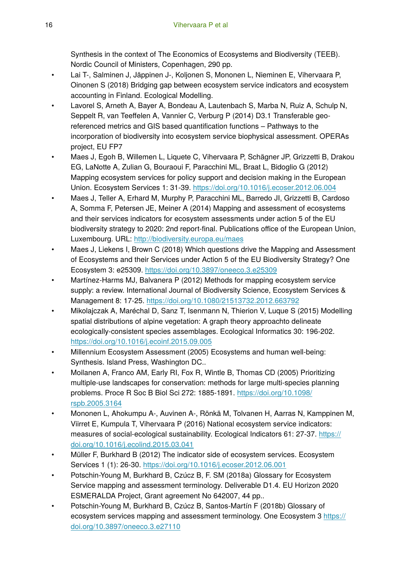Synthesis in the context of The Economics of Ecosystems and Biodiversity (TEEB). Nordic Council of Ministers, Copenhagen, 290 pp.

- Lai T-, Salminen J, Jäppinen J-, Koljonen S, Mononen L, Nieminen E, Vihervaara P, Oinonen S (2018) Bridging gap between ecosystem service indicators and ecosystem accounting in Finland. Ecological Modelling.
- Lavorel S, Arneth A, Bayer A, Bondeau A, Lautenbach S, Marba N, Ruiz A, Schulp N, Seppelt R, van Teeffelen A, Vannier C, Verburg P (2014) D3.1 Transferable georeferenced metrics and GIS based quantification functions – Pathways to the incorporation of biodiversity into ecosystem service biophysical assessment. OPERAs project, EU FP7
- Maes J, Egoh B, Willemen L, Liquete C, Vihervaara P, Schägner JP, Grizzetti B, Drakou EG, LaNotte A, Zulian G, Bouraoui F, Paracchini ML, Braat L, Bidoglio G (2012) Mapping ecosystem services for policy support and decision making in the European Union. Ecosystem Services 1: 31‑39.<https://doi.org/10.1016/j.ecoser.2012.06.004>
- Maes J, Teller A, Erhard M, Murphy P, Paracchini ML, Barredo JI, Grizzetti B, Cardoso A, Somma F, Petersen JE, Meiner A (2014) Mapping and assessment of ecosystems and their services indicators for ecosystem assessments under action 5 of the EU biodiversity strategy to 2020: 2nd report-final. Publications office of the European Union, Luxembourg. URL:<http://biodiversity.europa.eu/maes>
- Maes J, Liekens I, Brown C (2018) Which questions drive the Mapping and Assessment of Ecosystems and their Services under Action 5 of the EU Biodiversity Strategy? One Ecosystem 3: e25309.<https://doi.org/10.3897/oneeco.3.e25309>
- Martínez-Harms MJ, Balvanera P (2012) Methods for mapping ecosystem service supply: a review. International Journal of Biodiversity Science, Ecosystem Services & Management 8: 17‑25. <https://doi.org/10.1080/21513732.2012.663792>
- Mikolajczak A, Maréchal D, Sanz T, Isenmann N, Thierion V, Luque S (2015) Modelling spatial distributions of alpine vegetation: A graph theory approachto delineate ecologically-consistent species assemblages. Ecological Informatics 30: 196‑202. <https://doi.org/10.1016/j.ecoinf.2015.09.005>
- Millennium Ecosystem Assessment (2005) Ecosystems and human well-being: Synthesis. Island Press, Washington DC..
- Moilanen A, Franco AM, Early RI, Fox R, Wintle B, Thomas CD (2005) Prioritizing multiple-use landscapes for conservation: methods for large multi-species planning problems. Proce R Soc B Biol Sci 272: 1885-1891. [https://doi.org/10.1098/](https://doi.org/10.1098/rspb.2005.3164) [rspb.2005.3164](https://doi.org/10.1098/rspb.2005.3164)
- Mononen L, Ahokumpu A-, Auvinen A-, Rönkä M, Tolvanen H, Aarras N, Kamppinen M, Viirret E, Kumpula T, Vihervaara P (2016) National ecosystem service indicators: measures of social-ecological sustainability. Ecological Indicators 61: 27-37. [https://](https://doi.org/10.1016/j.ecolind.2015.03.041) [doi.org/10.1016/j.ecolind.2015.03.041](https://doi.org/10.1016/j.ecolind.2015.03.041)
- Müller F, Burkhard B (2012) The indicator side of ecosystem services. Ecosystem Services 1 (1): 26‑30. <https://doi.org/10.1016/j.ecoser.2012.06.001>
- Potschin-Young M, Burkhard B, Czúcz B, F. SM (2018a) Glossary for Ecosystem Service mapping and assessment terminology. Deliverable D1.4. EU Horizon 2020 ESMERALDA Project, Grant agreement No 642007, 44 pp..
- Potschin-Young M, Burkhard B, Czúcz B, Santos-Martín F (2018b) Glossary of ecosystem services mapping and assessment terminology. One Ecosystem 3 [https://](https://doi.org/10.3897/oneeco.3.e27110) [doi.org/10.3897/oneeco.3.e27110](https://doi.org/10.3897/oneeco.3.e27110)